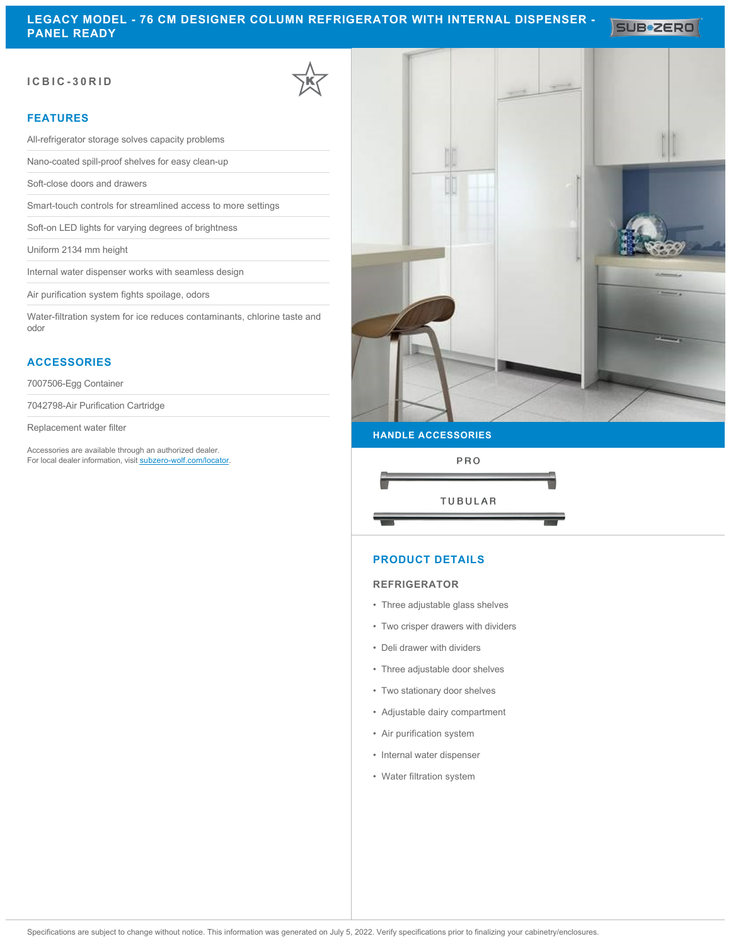SUB<sup>\*</sup>ZERO

## **ICBIC-30RID**

## **FEATURES**

All-refrigerator storage solves capacity problems

Nano-coated spill-proof shelves for easy clean-up

Soft-close doors and drawers

Smart-touch controls for streamlined access to more settings

Soft-on LED lights for varying degrees of brightness

Uniform 2134 mm height

Internal water dispenser works with seamless design

Air purification system fights spoilage, odors

Water-filtration system for ice reduces contaminants, chlorine taste and odor

## **ACCESSORIES**

7007506-Egg Container

7042798-Air Purification Cartridge

Replacement water filter

Accessories are available through an authorized dealer. For local dealer information, visit [subzero-wolf.com/locator.](http://www.subzero-wolf.com/locator)



### **HANDLE ACCESSORIES**



### **PRODUCT DETAILS**

### **REFRIGERATOR**

- Three adjustable glass shelves
- Two crisper drawers with dividers
- Deli drawer with dividers
- Three adjustable door shelves
- Two stationary door shelves
- Adjustable dairy compartment
- Air purification system
- Internal water dispenser
- Water filtration system